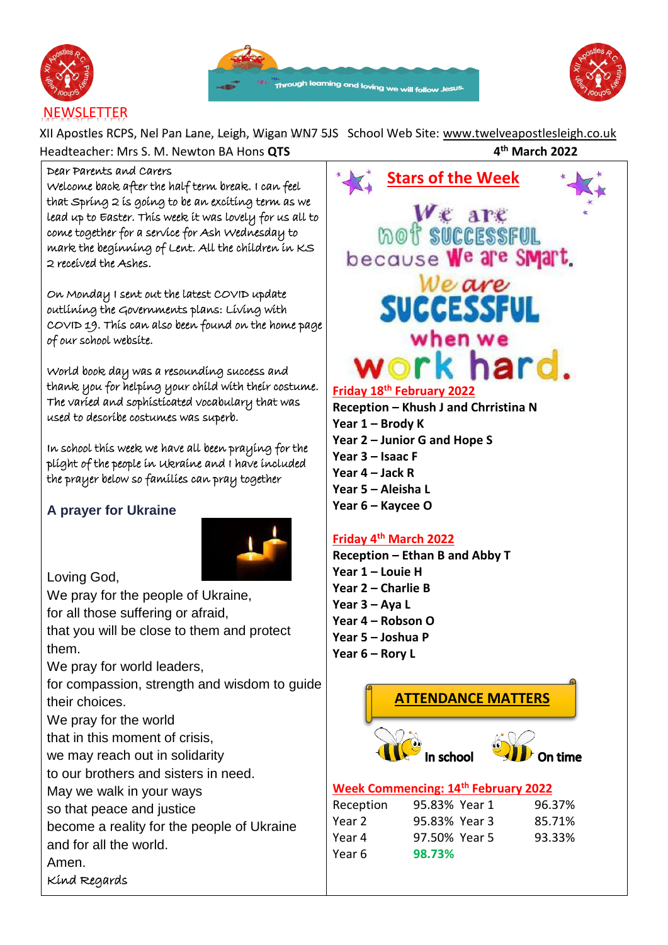





# **NEWSLETTER**

XII Apostles RCPS, Nel Pan Lane, Leigh, Wigan WN7 5JS School Web Site: [www.twelveapostlesleigh.co.uk](http://www.twelveapostlesleigh.co.uk/)  Headteacher: Mrs S. M. Newton BA Hons **QTS 4 th March 2022**

### Dear Parents and Carers

Welcome back after the half term break. I can feel that Spring 2 is going to be an exciting term as we lead up to Easter. This week it was lovely for us all to come together for a service for Ash Wednesday to mark the beginning of Lent. All the children in KS 2 received the Ashes.

On Monday I sent out the latest COVID update outlining the Governments plans: Living with COVID 19. This can also been found on the home page of our school website.

World book day was a resounding success and thank you for helping your child with their costume. The varied and sophisticated vocabulary that was used to describe costumes was superb.

In school this week we have all been praying for the plight of the people in Ukraine and I have included the prayer below so families can pray together

## **A prayer for Ukraine**



Loving God,

We pray for the people of Ukraine, for all those suffering or afraid,

that you will be close to them and protect them.

We pray for world leaders,

for compassion, strength and wisdom to guide their choices.

We pray for the world

that in this moment of crisis,

we may reach out in solidarity

to our brothers and sisters in need.

May we walk in your ways

so that peace and justice

become a reality for the people of Ukraine

and for all the world.

Amen.

Kind Regards



# **Friday 18th February 2022**

**Reception – Khush J and Chrristina N Year 1 – Brody K Year 2 – Junior G and Hope S Year 3 – Isaac F Year 4 – Jack R Year 5 – Aleisha L Year 6 – Kaycee O**

## **Friday 4 th March 2022**

Year 6 **98.73%**

**Reception – Ethan B and Abby T Year 1 – Louie H Year 2 – Charlie B Year 3 – Aya L Year 4 – Robson O Year 5 – Joshua P Year 6 – Rory L**

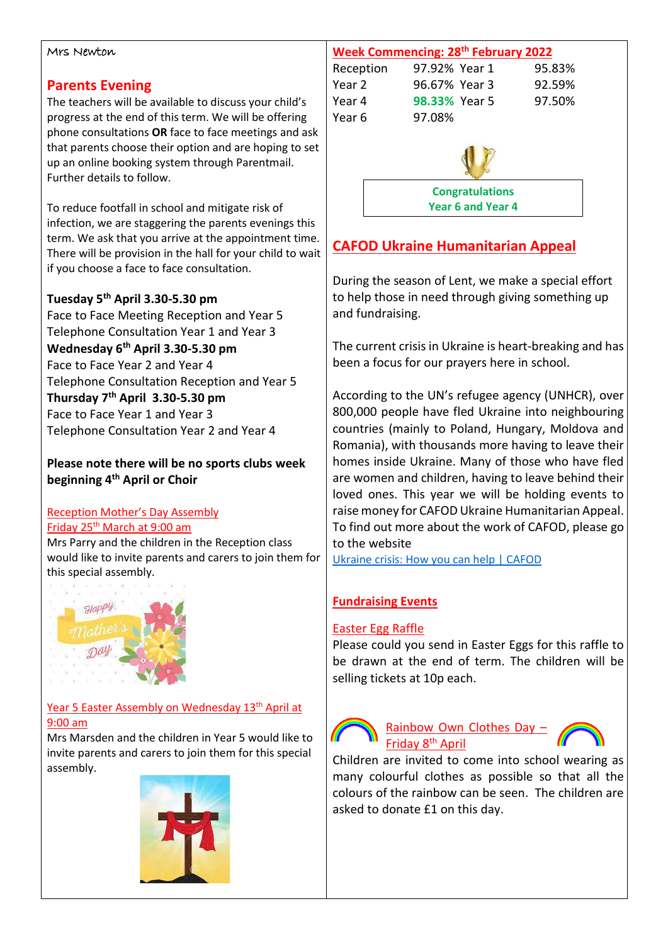#### Mrs Newton

### **Parents Evening**

The teachers will be available to discuss your child's progress at the end of this term. We will be offering phone consultations **OR** face to face meetings and ask that parents choose their option and are hoping to set up an online booking system through Parentmail. Further details to follow.

To reduce footfall in school and mitigate risk of infection, we are staggering the parents evenings this term. We ask that you arrive at the appointment time. There will be provision in the hall for your child to wait if you choose a face to face consultation.

### **Tuesday 5th April 3.30-5.30 pm**

Face to Face Meeting Reception and Year 5 Telephone Consultation Year 1 and Year 3 **Wednesday 6th April 3.30-5.30 pm** Face to Face Year 2 and Year 4 Telephone Consultation Reception and Year 5 **Thursday 7th April 3.30-5.30 pm** Face to Face Year 1 and Year 3 Telephone Consultation Year 2 and Year 4

**Please note there will be no sports clubs week beginning 4th April or Choir** 

### Reception Mother's Day Assembly Friday 25 th March at 9:00 am

Mrs Parry and the children in the Reception class would like to invite parents and carers to join them for this special assembly.



### Year 5 Easter Assembly on Wednesday 13<sup>th</sup> April at 9:00 am

Mrs Marsden and the children in Year 5 would like to invite parents and carers to join them for this special assembly.





# **CAFOD Ukraine Humanitarian Appeal**

During the season of Lent, we make a special effort to help those in need through giving something up and fundraising.

The current crisis in Ukraine is heart-breaking and has been a focus for our prayers here in school.

According to the UN's refugee agency (UNHCR), over 800,000 people have fled Ukraine into neighbouring countries (mainly to Poland, Hungary, Moldova and Romania), with thousands more having to leave their homes inside Ukraine. Many of those who have fled are women and children, having to leave behind their loved ones. This year we will be holding events to raise money for CAFOD Ukraine Humanitarian Appeal. To find out more about the work of CAFOD, please go to the website

[Ukraine crisis: How you can help | CAFOD](https://cafod.org.uk/News/Emergencies-news/Ukraine-crisis)

### **Fundraising Events**

### Easter Egg Raffle

Please could you send in Easter Eggs for this raffle to be drawn at the end of term. The children will be selling tickets at 10p each.



Rainbow Own Clothes Day – Friday 8th April

Children are invited to come into school wearing as many colourful clothes as possible so that all the colours of the rainbow can be seen. The children are asked to donate £1 on this day.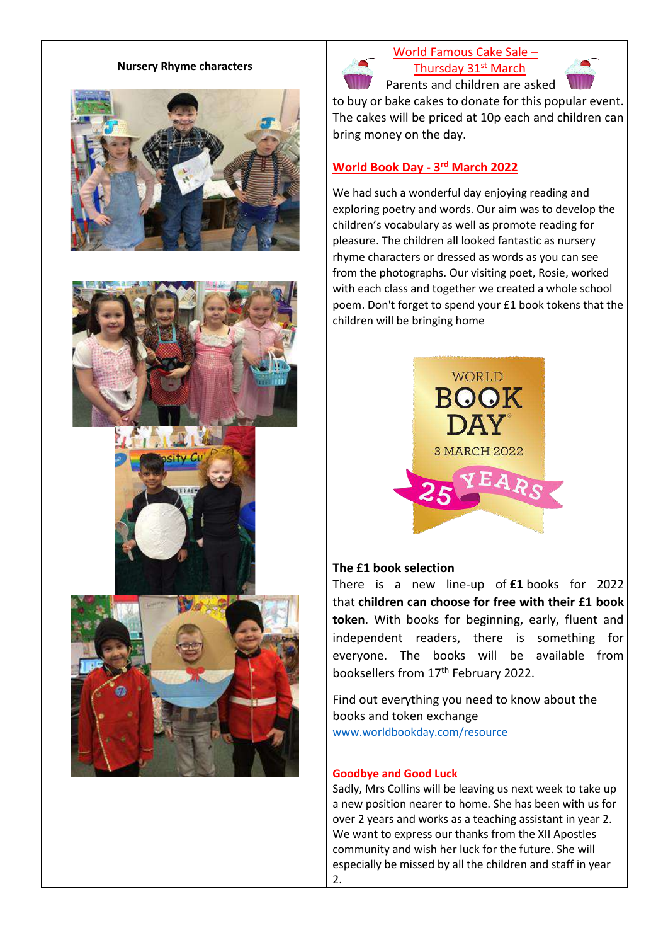#### **Nursery Rhyme characters**











# World Famous Cake Sale – Thursday 31st March



Parents and children are asked

to buy or bake cakes to donate for this popular event. The cakes will be priced at 10p each and children can bring money on the day.

### **World Book Day - 3 rd March 2022**

We had such a wonderful day enjoying reading and exploring poetry and words. Our aim was to develop the children's vocabulary as well as promote reading for pleasure. The children all looked fantastic as nursery rhyme characters or dressed as words as you can see from the photographs. Our visiting poet, Rosie, worked with each class and together we created a whole school poem. Don't forget to spend your £1 book tokens that the children will be bringing home



### **The £1 book selection**

There is a new line-up of **£1** books for 2022 that **children can choose for free with their £1 book token**. With books for beginning, early, fluent and independent readers, there is something for everyone. The books will be available from booksellers from 17<sup>th</sup> February 2022.

Find out everything you need to know about the books and token exchange [www.worldbookday.com/resource](http://www.worldbookday.com/resource)

#### **Goodbye and Good Luck**

Sadly, Mrs Collins will be leaving us next week to take up a new position nearer to home. She has been with us for over 2 years and works as a teaching assistant in year 2. We want to express our thanks from the XII Apostles community and wish her luck for the future. She will especially be missed by all the children and staff in year 2.